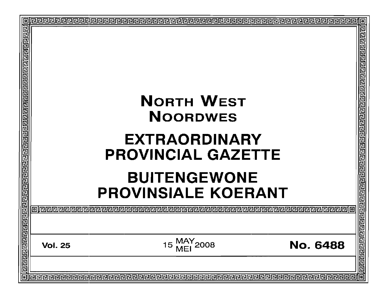| <b>NORTH WEST</b><br><b>NOORDWES</b><br><b>EXTRAORDINARY</b><br><b>PROVINCIAL GAZETTE</b> |                     |                                    |  |
|-------------------------------------------------------------------------------------------|---------------------|------------------------------------|--|
|                                                                                           | <b>BUITENGEWONE</b> | <u>निरागगगगगगगगगगगगगगगगगगगगगगग</u> |  |
|                                                                                           |                     |                                    |  |
|                                                                                           |                     |                                    |  |
|                                                                                           |                     |                                    |  |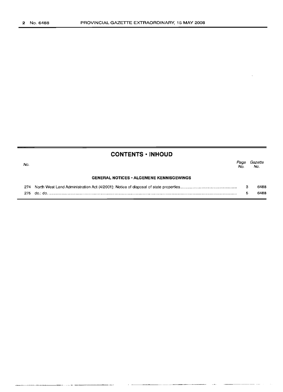| No. |                                                 | Page<br>No. | Gazette<br>No. |
|-----|-------------------------------------------------|-------------|----------------|
|     | <b>GENERAL NOTICES • ALGEMENE KENNISGEWINGS</b> |             |                |
| 274 |                                                 |             | 6488           |
| 275 |                                                 |             | 6488           |

-----..\_-----\_.\_.\_--.\_-----

**CONTENTS ·INHOUD**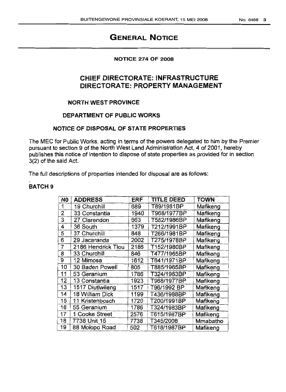# **GENERAL NOTICE**

#### **NOTICE 274 OF 2008**

# **CHIEF DIRECTORATE: INFRASTRUCTURE DIRECTORATE: PROPERTY MANAGEMENT**

### 'NORTH **WEST PROVINCE**

### **DEPARTMENT OF PUBLIC WORKS**

### **NOTICE OF DISPOSAL OF STATE PROPERTIES**

The MEC for Public Works, acting in terms of the powers delegated to him by the Premier pursuant to section 9 of the North West Land Administration Act, 4 of 2001, hereby publishes this notice of intention to dispose of state properties as provided for in section 3(2) of the said Act.

The full descriptions of properties intended for disposal are as follows:

## **BATCH 9**

| N0 | <b>ADDRESS</b>     | <b>ERF</b> | <b>TITLE DEED</b> | <b>TOWN</b> |
|----|--------------------|------------|-------------------|-------------|
|    | 19 Churchill       | 689        | T89/1981BP        | Mafikeng    |
| 2  | 33 Constantia      | 1940       | T968/1977BP       | Mafikeng    |
| 3  | 27 Clarendon       | 663        | T582/1986BP       | Mafikeng    |
| 4  | 36 South           | 1379       | T212/1991BP       | Mafikeng    |
| 5  | 37 Churchill       | 848        | T266/1981BP       | Mafikeng    |
| 6  | 29 Jacaranda       | 2002       | T275/1978BP       | Mafikeng    |
| 7  | 2186 Hendrick Tlou | 2186       | T152/1980BP       | Mafikeng    |
| 8  | 33 Churchill       | 846        | T477/1965BP       | Mafikeng    |
| 9  | 12 Mimosa          | 1612       | T641/1971BP       | Mafikeng    |
| 10 | 30 Baden Powell    | 805        | T885/1965BP       | Mafikeng    |
| 11 | 53 Geranium        | 1786       | T324/1983BP       | Mafikeng    |
| 12 | 13 Constantia      | 1923       | T968/1977BP       | Mafikeng    |
| 13 | 1517 Diutlwileng   | 1517       | T96/1992 BP       | Mafikeng    |
| 14 | 18 William Dick    | 1199       | T436/1988BP       | Mafikeng    |
| 15 | 11 Kristenbosch    | 1720       | T200/1991BP       | Mafikeng    |
| 16 | 55 Geranium        | 1786       | T324/1983BP       | Mafikeng    |
| 17 | 1 Cooke Street     | 2576       | T615/1987BP       | Mafikeng    |
| 18 | 7738 Unit 15       | 7738       | T345/2008         | Mmabatho    |
| 19 | 88 Molopo Road     | 502        | T618/1987BP       | Mafikeng    |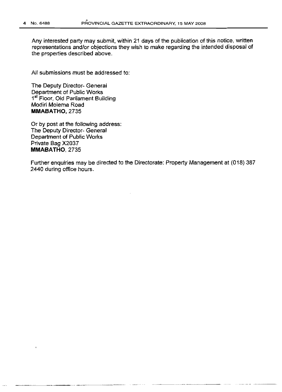Any interested party may submit, within 21 days of the publication of this notice, written representations and/or objections they wish to make regarding the intended disposal of the properties described above.

All submissions must be addressed to:

The Deputy Director- General Department of Public Works 1st Floor, Old Parliament Building Modiri Molema Road **MMABATHO,2735**

Or by post at the folloWing address: The Deputy Director- General Department of Public Works Private Bag X2037 **MMABATHO.** 2735

Further enquiries may be directed to the Directorate: Property Management at (018) 387 2440 during office hours.